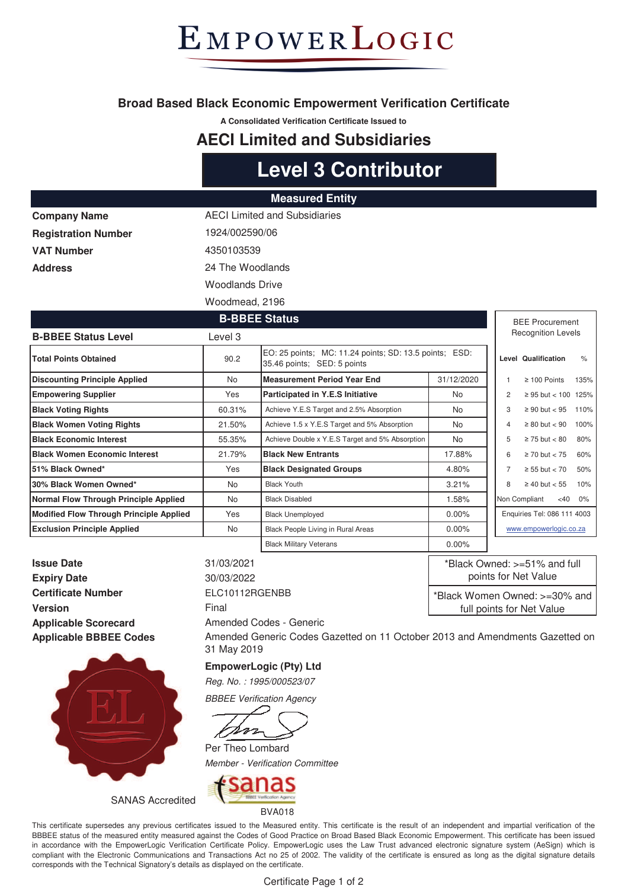EMPOWERLOGIC

### **Broad Based Black Economic Empowerment Verification Certificate**

**A Consolidated Verification Certificate Issued to**

## **AECI Limited and Subsidiaries**

## **Level 3 Contributor**

| <b>Measured Entity</b> |  |
|------------------------|--|
|------------------------|--|

| <b>Company Name</b>        | <b>AECI Limited and Subsidiaries</b> |  |
|----------------------------|--------------------------------------|--|
| <b>Registration Number</b> | 1924/002590/06                       |  |
| <b>VAT Number</b>          | 4350103539                           |  |
| <b>Address</b>             | 24 The Woodlands                     |  |
|                            | Woodlands Drive                      |  |
|                            | Woodmead, 2196                       |  |

|                                                |           | <b>B-BBEE Status</b>                                                                  |                                         |                           | <b>BEE Procurement</b>     |          |
|------------------------------------------------|-----------|---------------------------------------------------------------------------------------|-----------------------------------------|---------------------------|----------------------------|----------|
| <b>B-BBEE Status Level</b>                     | Level 3   |                                                                                       |                                         | <b>Recognition Levels</b> |                            |          |
| <b>Total Points Obtained</b>                   | 90.2      | EO: 25 points; MC: 11.24 points; SD: 13.5 points; ESD:<br>35.46 points: SED: 5 points |                                         |                           | <b>Level Qualification</b> | $\%$     |
| <b>Discounting Principle Applied</b>           | <b>No</b> | <b>Measurement Period Year End</b>                                                    | 31/12/2020                              |                           | $\geq 100$ Points          | 135%     |
| <b>Empowering Supplier</b>                     | Yes       | Participated in Y.E.S Initiative                                                      | No                                      | 2                         | $\geq 95$ but < 100 125%   |          |
| <b>Black Voting Rights</b>                     | 60.31%    | Achieve Y.E.S Target and 2.5% Absorption                                              | No.                                     | 3                         | $\geq 90$ but $< 95$       | 110%     |
| <b>Black Women Voting Rights</b>               | 21.50%    | Achieve 1.5 x Y.E.S Target and 5% Absorption                                          | No                                      | 4                         | $\geq 80$ but $< 90$       | 100%     |
| <b>IBlack Economic Interest</b>                | 55.35%    | Achieve Double x Y.E.S Target and 5% Absorption                                       | No                                      | 5                         | $\geq$ 75 but $<$ 80       | 80%      |
| <b>Black Women Economic Interest</b>           | 21.79%    | <b>Black New Entrants</b>                                                             | 17.88%                                  | 6                         | $\geq$ 70 but $<$ 75       | 60%      |
| <b>51% Black Owned*</b>                        | Yes       | <b>Black Designated Groups</b>                                                        | 4.80%                                   |                           | $\geq 55$ but $< 70$       | 50%      |
| 30% Black Women Owned*                         | <b>No</b> | <b>Black Youth</b>                                                                    | 3.21%                                   | 8                         | $\geq 40$ but $< 55$       | 10%      |
| Normal Flow Through Principle Applied          | No.       | <b>Black Disabled</b>                                                                 | 1.58%                                   |                           | Non Compliant              | $<40$ 0% |
| <b>Modified Flow Through Principle Applied</b> | Yes       | <b>Black Unemployed</b>                                                               | Enquiries Tel: 086 111 4003<br>$0.00\%$ |                           |                            |          |
| <b>Exclusion Principle Applied</b>             | No        | Black People Living in Rural Areas                                                    | $0.00\%$                                |                           | www.empowerlogic.co.za     |          |
|                                                |           | <b>Black Military Veterans</b>                                                        | $0.00\%$                                |                           |                            |          |

**Issue Date** 31/03/2021 **Expiry Date** 30/03/2022 **Certificate Number** ELC10112RGENBB **Version** Final **Applicable Scorecard Applicable BBBEE Codes**



SANAS Accredited

Amended Codes - Generic

Amended Generic Codes Gazetted on 11 October 2013 and Amendments Gazetted on 31 May 2019

\*Black Owned: >=51% and full points for Net Value \*Black Women Owned: >=30% and full points for Net Value

### **EmpowerLogic (Pty) Ltd**

*Reg. No. : 1995/000523/07 BBBEE Verification Agency*



*Member - Verification Committee*



This certificate supersedes any previous certificates issued to the Measured entity. This certificate is the result of an independent and impartial verification of the BBBEE status of the measured entity measured against the Codes of Good Practice on Broad Based Black Economic Empowerment. This certificate has been issued in accordance with the EmpowerLogic Verification Certificate Policy. EmpowerLogic uses the Law Trust advanced electronic signature system (AeSign) which is compliant with the Electronic Communications and Transactions Act no 25 of 2002. The validity of the certificate is ensured as long as the digital signature details corresponds with the Technical Signatory's details as displayed on the certificate.